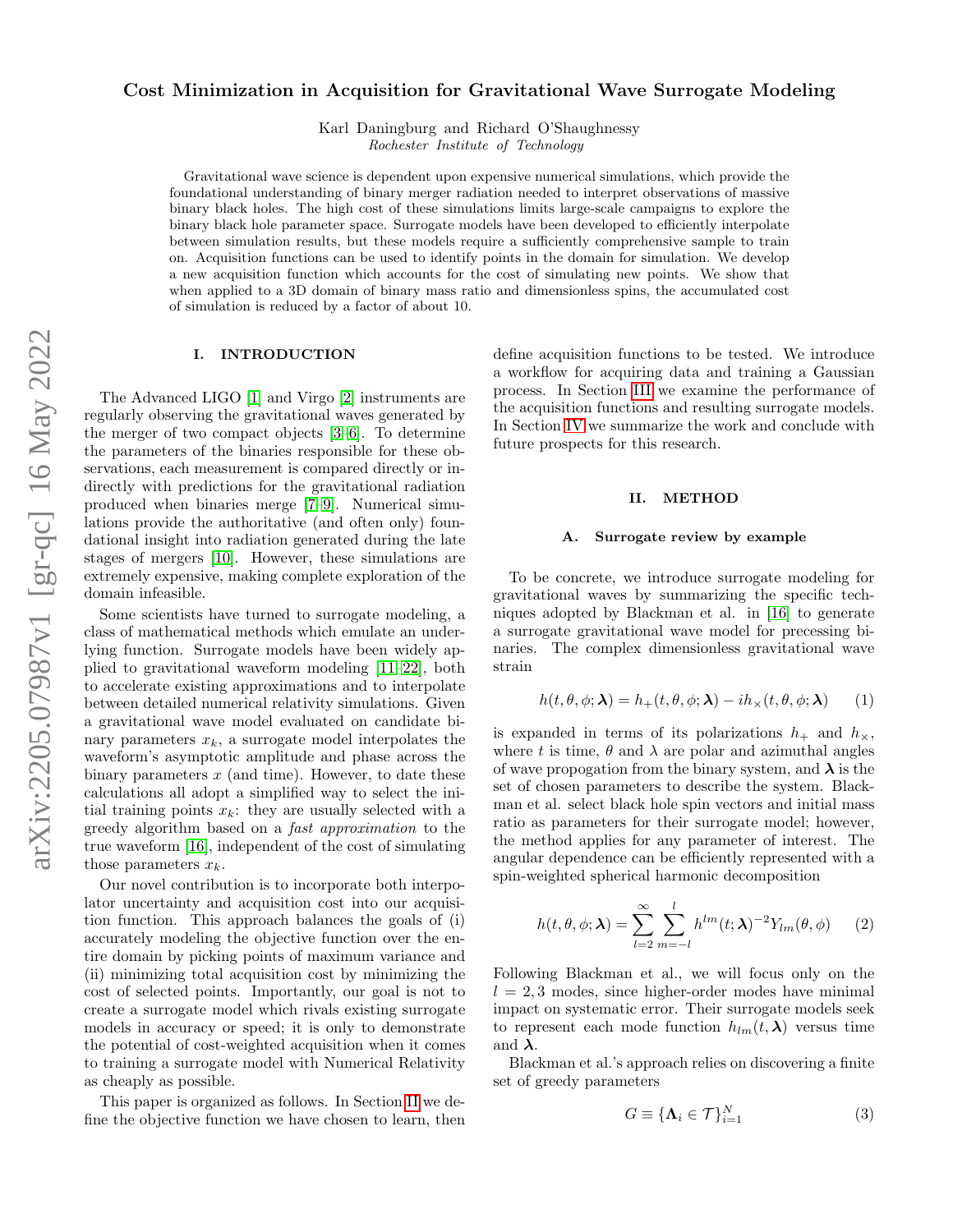# Cost Minimization in Acquisition for Gravitational Wave Surrogate Modeling

Karl Daningburg and Richard O'Shaughnessy Rochester Institute of Technology

Gravitational wave science is dependent upon expensive numerical simulations, which provide the foundational understanding of binary merger radiation needed to interpret observations of massive binary black holes. The high cost of these simulations limits large-scale campaigns to explore the binary black hole parameter space. Surrogate models have been developed to efficiently interpolate between simulation results, but these models require a sufficiently comprehensive sample to train on. Acquisition functions can be used to identify points in the domain for simulation. We develop a new acquisition function which accounts for the cost of simulating new points. We show that when applied to a 3D domain of binary mass ratio and dimensionless spins, the accumulated cost of simulation is reduced by a factor of about 10.

# I. INTRODUCTION

The Advanced LIGO [\[1\]](#page-6-0) and Virgo [\[2\]](#page-6-1) instruments are regularly observing the gravitational waves generated by the merger of two compact objects [\[3](#page-6-2)[–6\]](#page-6-3). To determine the parameters of the binaries responsible for these observations, each measurement is compared directly or indirectly with predictions for the gravitational radiation produced when binaries merge [\[7–](#page-6-4)[9\]](#page-6-5). Numerical simulations provide the authoritative (and often only) foundational insight into radiation generated during the late stages of mergers [\[10\]](#page-6-6). However, these simulations are extremely expensive, making complete exploration of the domain infeasible.

Some scientists have turned to surrogate modeling, a class of mathematical methods which emulate an underlying function. Surrogate models have been widely applied to gravitational waveform modeling [\[11–](#page-6-7)[22\]](#page-6-8), both to accelerate existing approximations and to interpolate between detailed numerical relativity simulations. Given a gravitational wave model evaluated on candidate binary parameters  $x_k$ , a surrogate model interpolates the waveform's asymptotic amplitude and phase across the binary parameters  $x$  (and time). However, to date these calculations all adopt a simplified way to select the initial training points  $x_k$ : they are usually selected with a greedy algorithm based on a fast approximation to the true waveform [\[16\]](#page-6-9), independent of the cost of simulating those parameters  $x_k$ .

Our novel contribution is to incorporate both interpolator uncertainty and acquisition cost into our acquisition function. This approach balances the goals of (i) accurately modeling the objective function over the entire domain by picking points of maximum variance and (ii) minimizing total acquisition cost by minimizing the cost of selected points. Importantly, our goal is not to create a surrogate model which rivals existing surrogate models in accuracy or speed; it is only to demonstrate the potential of cost-weighted acquisition when it comes to training a surrogate model with Numerical Relativity as cheaply as possible.

This paper is organized as follows. In Section [II](#page-0-0) we define the objective function we have chosen to learn, then define acquisition functions to be tested. We introduce a workflow for acquiring data and training a Gaussian process. In Section [III](#page-4-0) we examine the performance of the acquisition functions and resulting surrogate models. In Section [IV](#page-5-0) we summarize the work and conclude with future prospects for this research.

## <span id="page-0-0"></span>II. METHOD

### A. Surrogate review by example

To be concrete, we introduce surrogate modeling for gravitational waves by summarizing the specific techniques adopted by Blackman et al. in [\[16\]](#page-6-9) to generate a surrogate gravitational wave model for precessing binaries. The complex dimensionless gravitational wave strain

$$
h(t, \theta, \phi; \lambda) = h_{+}(t, \theta, \phi; \lambda) - ih_{\times}(t, \theta, \phi; \lambda)
$$
 (1)

is expanded in terms of its polarizations  $h_+$  and  $h_{\times}$ , where t is time,  $\theta$  and  $\lambda$  are polar and azimuthal angles of wave propogation from the binary system, and  $\lambda$  is the set of chosen parameters to describe the system. Blackman et al. select black hole spin vectors and initial mass ratio as parameters for their surrogate model; however, the method applies for any parameter of interest. The angular dependence can be efficiently represented with a spin-weighted spherical harmonic decomposition

$$
h(t, \theta, \phi; \lambda) = \sum_{l=2}^{\infty} \sum_{m=-l}^{l} h^{lm}(t; \lambda)^{-2} Y_{lm}(\theta, \phi)
$$
 (2)

Following Blackman et al., we will focus only on the  $l = 2, 3$  modes, since higher-order modes have minimal impact on systematic error. Their surrogate models seek to represent each mode function  $h_{lm}(t, \lambda)$  versus time and  $\lambda$ .

Blackman et al.'s approach relies on discovering a finite set of greedy parameters

$$
G \equiv \{\mathbf{\Lambda}_i \in \mathcal{T}\}_{i=1}^N \tag{3}
$$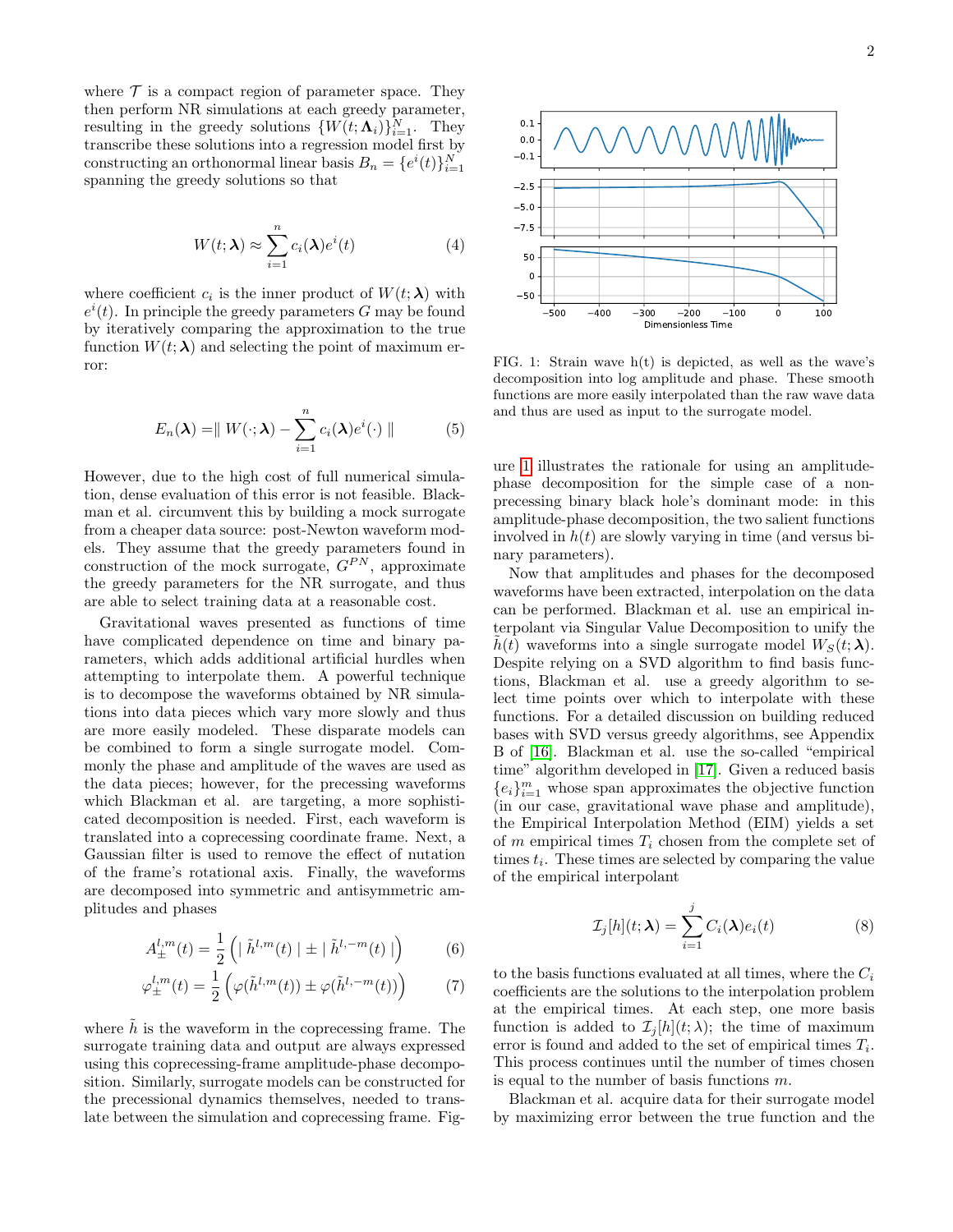where  $\mathcal T$  is a compact region of parameter space. They then perform NR simulations at each greedy parameter, resulting in the greedy solutions  $\{W(t; \Lambda_i)\}_{i=1}^N$ . They transcribe these solutions into a regression model first by constructing an orthonormal linear basis  $B_n = \{e^i(t)\}_{i=1}^N$ spanning the greedy solutions so that

$$
W(t; \lambda) \approx \sum_{i=1}^{n} c_i(\lambda) e^i(t)
$$
 (4)

where coefficient  $c_i$  is the inner product of  $W(t; \lambda)$  with  $e^{i}(t)$ . In principle the greedy parameters G may be found by iteratively comparing the approximation to the true function  $W(t; \lambda)$  and selecting the point of maximum error:

$$
E_n(\boldsymbol{\lambda}) = || W(\cdot; \boldsymbol{\lambda}) - \sum_{i=1}^n c_i(\boldsymbol{\lambda}) e^i(\cdot) ||
$$
 (5)

However, due to the high cost of full numerical simulation, dense evaluation of this error is not feasible. Blackman et al. circumvent this by building a mock surrogate from a cheaper data source: post-Newton waveform models. They assume that the greedy parameters found in construction of the mock surrogate,  $G^{PN}$ , approximate the greedy parameters for the NR surrogate, and thus are able to select training data at a reasonable cost.

Gravitational waves presented as functions of time have complicated dependence on time and binary parameters, which adds additional artificial hurdles when attempting to interpolate them. A powerful technique is to decompose the waveforms obtained by NR simulations into data pieces which vary more slowly and thus are more easily modeled. These disparate models can be combined to form a single surrogate model. Commonly the phase and amplitude of the waves are used as the data pieces; however, for the precessing waveforms which Blackman et al. are targeting, a more sophisticated decomposition is needed. First, each waveform is translated into a coprecessing coordinate frame. Next, a Gaussian filter is used to remove the effect of nutation of the frame's rotational axis. Finally, the waveforms are decomposed into symmetric and antisymmetric amplitudes and phases

$$
A_{\pm}^{l,m}(t) = \frac{1}{2} \left( \mid \tilde{h}^{l,m}(t) \mid \pm \mid \tilde{h}^{l,-m}(t) \mid \right) \tag{6}
$$

$$
\varphi_{\pm}^{l,m}(t) = \frac{1}{2} \left( \varphi(\tilde{h}^{l,m}(t)) \pm \varphi(\tilde{h}^{l,-m}(t)) \right) \tag{7}
$$

where  $\hat{h}$  is the waveform in the coprecessing frame. The surrogate training data and output are always expressed using this coprecessing-frame amplitude-phase decomposition. Similarly, surrogate models can be constructed for the precessional dynamics themselves, needed to translate between the simulation and coprecessing frame. Fig-



<span id="page-1-0"></span>FIG. 1: Strain wave h(t) is depicted, as well as the wave's decomposition into log amplitude and phase. These smooth functions are more easily interpolated than the raw wave data and thus are used as input to the surrogate model.

ure [1](#page-1-0) illustrates the rationale for using an amplitudephase decomposition for the simple case of a nonprecessing binary black hole's dominant mode: in this amplitude-phase decomposition, the two salient functions involved in  $h(t)$  are slowly varying in time (and versus binary parameters).

Now that amplitudes and phases for the decomposed waveforms have been extracted, interpolation on the data can be performed. Blackman et al. use an empirical interpolant via Singular Value Decomposition to unify the  $\hat{h}(t)$  waveforms into a single surrogate model  $W_S(t; \lambda)$ . Despite relying on a SVD algorithm to find basis functions, Blackman et al. use a greedy algorithm to select time points over which to interpolate with these functions. For a detailed discussion on building reduced bases with SVD versus greedy algorithms, see Appendix B of [\[16\]](#page-6-9). Blackman et al. use the so-called "empirical time" algorithm developed in [\[17\]](#page-6-10). Given a reduced basis  ${e_i}_{i=1}^m$  whose span approximates the objective function (in our case, gravitational wave phase and amplitude), the Empirical Interpolation Method (EIM) yields a set of m empirical times  $T_i$  chosen from the complete set of times  $t_i$ . These times are selected by comparing the value of the empirical interpolant

$$
\mathcal{I}_j[h](t; \lambda) = \sum_{i=1}^j C_i(\lambda) e_i(t)
$$
\n(8)

to the basis functions evaluated at all times, where the  $C_i$ coefficients are the solutions to the interpolation problem at the empirical times. At each step, one more basis function is added to  $\mathcal{I}_i[h](t; \lambda)$ ; the time of maximum error is found and added to the set of empirical times  $T_i$ . This process continues until the number of times chosen is equal to the number of basis functions  $m$ .

Blackman et al. acquire data for their surrogate model by maximizing error between the true function and the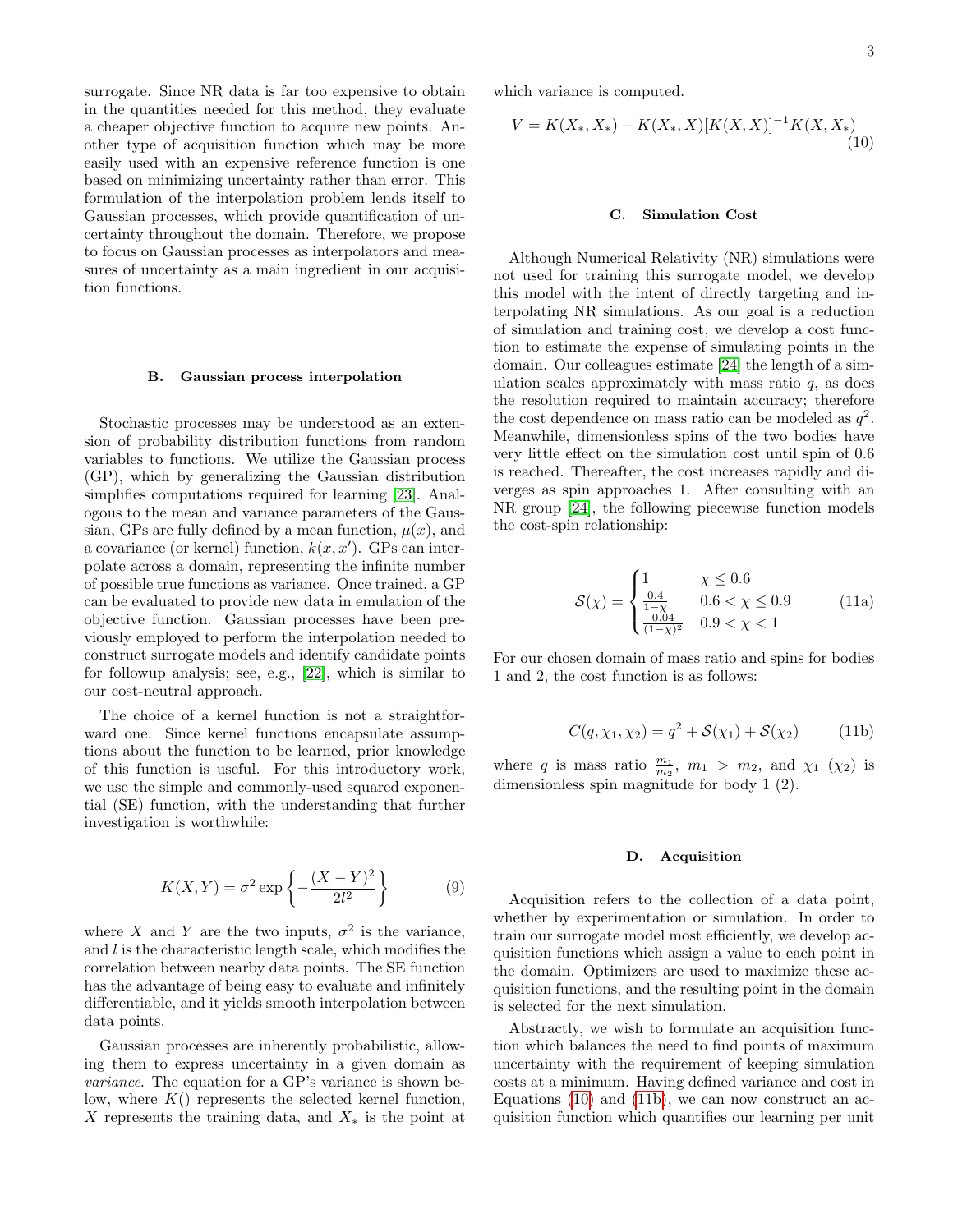surrogate. Since NR data is far too expensive to obtain in the quantities needed for this method, they evaluate a cheaper objective function to acquire new points. Another type of acquisition function which may be more easily used with an expensive reference function is one based on minimizing uncertainty rather than error. This formulation of the interpolation problem lends itself to Gaussian processes, which provide quantification of uncertainty throughout the domain. Therefore, we propose to focus on Gaussian processes as interpolators and measures of uncertainty as a main ingredient in our acquisition functions.

# B. Gaussian process interpolation

Stochastic processes may be understood as an extension of probability distribution functions from random variables to functions. We utilize the Gaussian process (GP), which by generalizing the Gaussian distribution simplifies computations required for learning [\[23\]](#page-6-11). Analogous to the mean and variance parameters of the Gaussian, GPs are fully defined by a mean function,  $\mu(x)$ , and a covariance (or kernel) function,  $k(x, x')$ . GPs can interpolate across a domain, representing the infinite number of possible true functions as variance. Once trained, a GP can be evaluated to provide new data in emulation of the objective function. Gaussian processes have been previously employed to perform the interpolation needed to construct surrogate models and identify candidate points for followup analysis; see, e.g., [\[22\]](#page-6-8), which is similar to our cost-neutral approach.

The choice of a kernel function is not a straightforward one. Since kernel functions encapsulate assumptions about the function to be learned, prior knowledge of this function is useful. For this introductory work, we use the simple and commonly-used squared exponential (SE) function, with the understanding that further investigation is worthwhile:

$$
K(X,Y) = \sigma^2 \exp\left\{-\frac{(X-Y)^2}{2l^2}\right\} \tag{9}
$$

where X and Y are the two inputs,  $\sigma^2$  is the variance, and  $l$  is the characteristic length scale, which modifies the correlation between nearby data points. The SE function has the advantage of being easy to evaluate and infinitely differentiable, and it yields smooth interpolation between data points.

Gaussian processes are inherently probabilistic, allowing them to express uncertainty in a given domain as variance. The equation for a GP's variance is shown below, where  $K()$  represents the selected kernel function, X represents the training data, and  $X_*$  is the point at which variance is computed.

$$
V = K(X_*, X_*) - K(X_*, X)[K(X, X)]^{-1}K(X, X_*)
$$
\n(10)

# <span id="page-2-0"></span>C. Simulation Cost

Although Numerical Relativity (NR) simulations were not used for training this surrogate model, we develop this model with the intent of directly targeting and interpolating NR simulations. As our goal is a reduction of simulation and training cost, we develop a cost function to estimate the expense of simulating points in the domain. Our colleagues estimate [\[24\]](#page-6-12) the length of a simulation scales approximately with mass ratio  $q$ , as does the resolution required to maintain accuracy; therefore the cost dependence on mass ratio can be modeled as  $q^2$ . Meanwhile, dimensionless spins of the two bodies have very little effect on the simulation cost until spin of 0.6 is reached. Thereafter, the cost increases rapidly and diverges as spin approaches 1. After consulting with an NR group [\[24\]](#page-6-12), the following piecewise function models the cost-spin relationship:

$$
\mathcal{S}(\chi) = \begin{cases} 1 & \chi \le 0.6\\ \frac{0.4}{1-\chi} & 0.6 < \chi \le 0.9\\ \frac{0.04}{(1-\chi)^2} & 0.9 < \chi < 1 \end{cases}
$$
(11a)

For our chosen domain of mass ratio and spins for bodies 1 and 2, the cost function is as follows:

$$
C(q, \chi_1, \chi_2) = q^2 + S(\chi_1) + S(\chi_2)
$$
 (11b)

where q is mass ratio  $\frac{m_1}{m_2}$ ,  $m_1 > m_2$ , and  $\chi_1$  ( $\chi_2$ ) is dimensionless spin magnitude for body 1 (2).

#### <span id="page-2-2"></span><span id="page-2-1"></span>D. Acquisition

Acquisition refers to the collection of a data point, whether by experimentation or simulation. In order to train our surrogate model most efficiently, we develop acquisition functions which assign a value to each point in the domain. Optimizers are used to maximize these acquisition functions, and the resulting point in the domain is selected for the next simulation.

Abstractly, we wish to formulate an acquisition function which balances the need to find points of maximum uncertainty with the requirement of keeping simulation costs at a minimum. Having defined variance and cost in Equations [\(10\)](#page-2-0) and [\(11b\)](#page-2-1), we can now construct an acquisition function which quantifies our learning per unit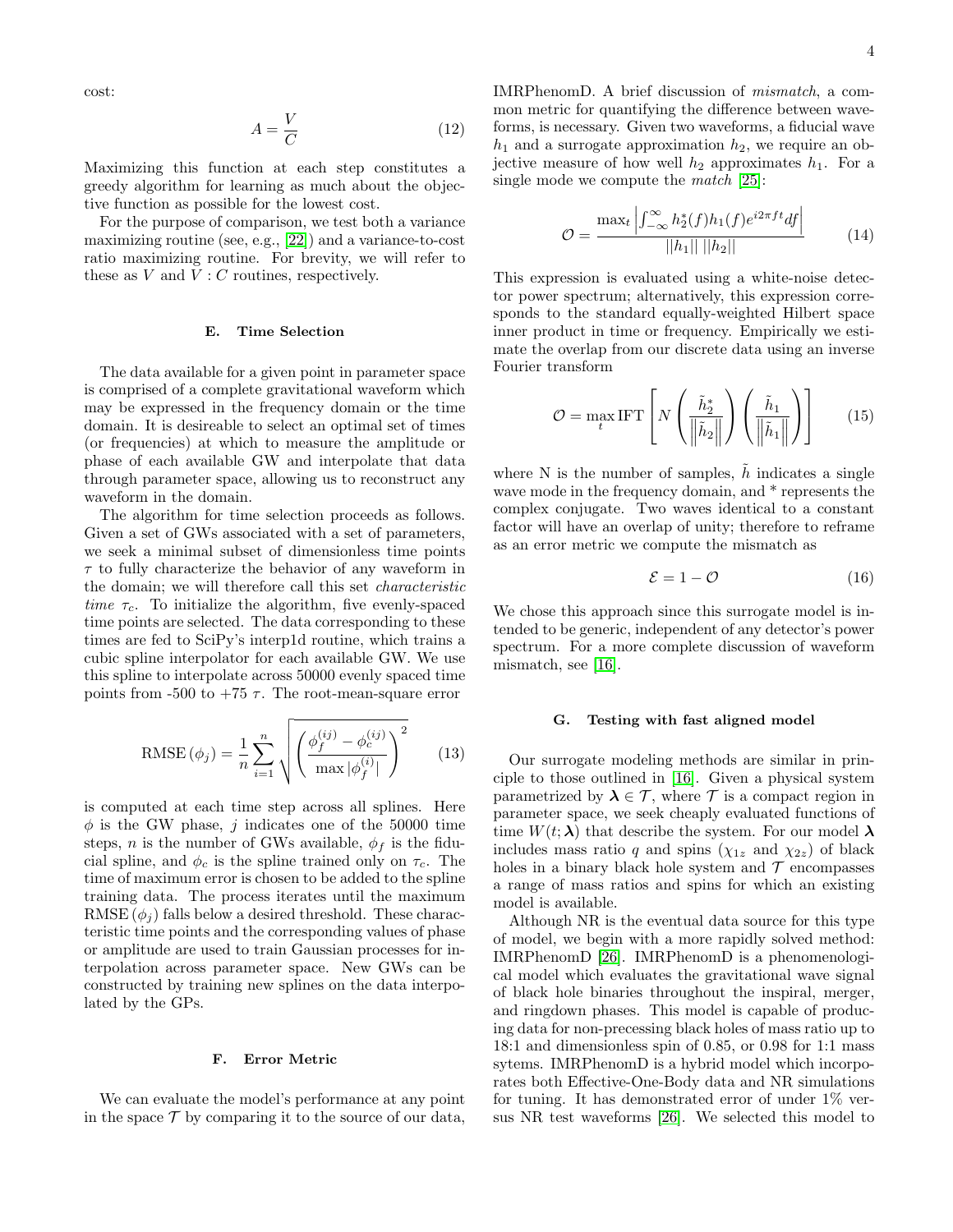cost:

$$
A = \frac{V}{C} \tag{12}
$$

Maximizing this function at each step constitutes a greedy algorithm for learning as much about the objective function as possible for the lowest cost.

For the purpose of comparison, we test both a variance maximizing routine (see, e.g., [\[22\]](#page-6-8)) and a variance-to-cost ratio maximizing routine. For brevity, we will refer to these as  $V$  and  $V : C$  routines, respectively.

## <span id="page-3-0"></span>E. Time Selection

The data available for a given point in parameter space is comprised of a complete gravitational waveform which may be expressed in the frequency domain or the time domain. It is desireable to select an optimal set of times (or frequencies) at which to measure the amplitude or phase of each available GW and interpolate that data through parameter space, allowing us to reconstruct any waveform in the domain.

The algorithm for time selection proceeds as follows. Given a set of GWs associated with a set of parameters, we seek a minimal subset of dimensionless time points  $\tau$  to fully characterize the behavior of any waveform in the domain; we will therefore call this set characteristic time  $\tau_c$ . To initialize the algorithm, five evenly-spaced time points are selected. The data corresponding to these times are fed to SciPy's interp1d routine, which trains a cubic spline interpolator for each available GW. We use this spline to interpolate across 50000 evenly spaced time points from -500 to +75  $\tau$ . The root-mean-square error

RMSE 
$$
(\phi_j)
$$
 =  $\frac{1}{n} \sum_{i=1}^{n} \sqrt{\left(\frac{\phi_f^{(ij)} - \phi_c^{(ij)}}{\max |\phi_f^{(i)}|}\right)^2}$  (13)

is computed at each time step across all splines. Here  $\phi$  is the GW phase, j indicates one of the 50000 time steps, *n* is the number of GWs available,  $\phi_f$  is the fiducial spline, and  $\phi_c$  is the spline trained only on  $\tau_c$ . The time of maximum error is chosen to be added to the spline training data. The process iterates until the maximum RMSE  $(\phi_i)$  falls below a desired threshold. These characteristic time points and the corresponding values of phase or amplitude are used to train Gaussian processes for interpolation across parameter space. New GWs can be constructed by training new splines on the data interpolated by the GPs.

# F. Error Metric

We can evaluate the model's performance at any point in the space  $\mathcal T$  by comparing it to the source of our data,

IMRPhenomD. A brief discussion of mismatch, a common metric for quantifying the difference between waveforms, is necessary. Given two waveforms, a fiducial wave  $h_1$  and a surrogate approximation  $h_2$ , we require an objective measure of how well  $h_2$  approximates  $h_1$ . For a single mode we compute the *match* [\[25\]](#page-6-13):

<span id="page-3-1"></span>
$$
\mathcal{O} = \frac{\max_{t} \left| \int_{-\infty}^{\infty} h_2^*(f) h_1(f) e^{i2\pi ft} df \right|}{||h_1|| \, ||h_2||} \tag{14}
$$

This expression is evaluated using a white-noise detector power spectrum; alternatively, this expression corresponds to the standard equally-weighted Hilbert space inner product in time or frequency. Empirically we estimate the overlap from our discrete data using an inverse Fourier transform

$$
\mathcal{O} = \max_{t} \text{IFT}\left[N\left(\frac{\tilde{h}_2^*}{\left\|\tilde{h}_2\right\|}\right)\left(\frac{\tilde{h}_1}{\left\|\tilde{h}_1\right\|}\right)\right]
$$
(15)

where  $N$  is the number of samples,  $h$  indicates a single wave mode in the frequency domain, and  $*$  represents the complex conjugate. Two waves identical to a constant factor will have an overlap of unity; therefore to reframe as an error metric we compute the mismatch as

<span id="page-3-2"></span>
$$
\mathcal{E} = 1 - \mathcal{O} \tag{16}
$$

We chose this approach since this surrogate model is intended to be generic, independent of any detector's power spectrum. For a more complete discussion of waveform mismatch, see [\[16\]](#page-6-9).

#### G. Testing with fast aligned model

Our surrogate modeling methods are similar in principle to those outlined in [\[16\]](#page-6-9). Given a physical system parametrized by  $\lambda \in \mathcal{T}$ , where  $\mathcal{T}$  is a compact region in parameter space, we seek cheaply evaluated functions of time  $W(t; \lambda)$  that describe the system. For our model  $\lambda$ includes mass ratio q and spins  $(\chi_{1z}$  and  $\chi_{2z})$  of black holes in a binary black hole system and  $\mathcal T$  encompasses a range of mass ratios and spins for which an existing model is available.

Although NR is the eventual data source for this type of model, we begin with a more rapidly solved method: IMRPhenomD [\[26\]](#page-6-14). IMRPhenomD is a phenomenological model which evaluates the gravitational wave signal of black hole binaries throughout the inspiral, merger, and ringdown phases. This model is capable of producing data for non-precessing black holes of mass ratio up to 18:1 and dimensionless spin of 0.85, or 0.98 for 1:1 mass sytems. IMRPhenomD is a hybrid model which incorporates both Effective-One-Body data and NR simulations for tuning. It has demonstrated error of under 1% versus NR test waveforms [\[26\]](#page-6-14). We selected this model to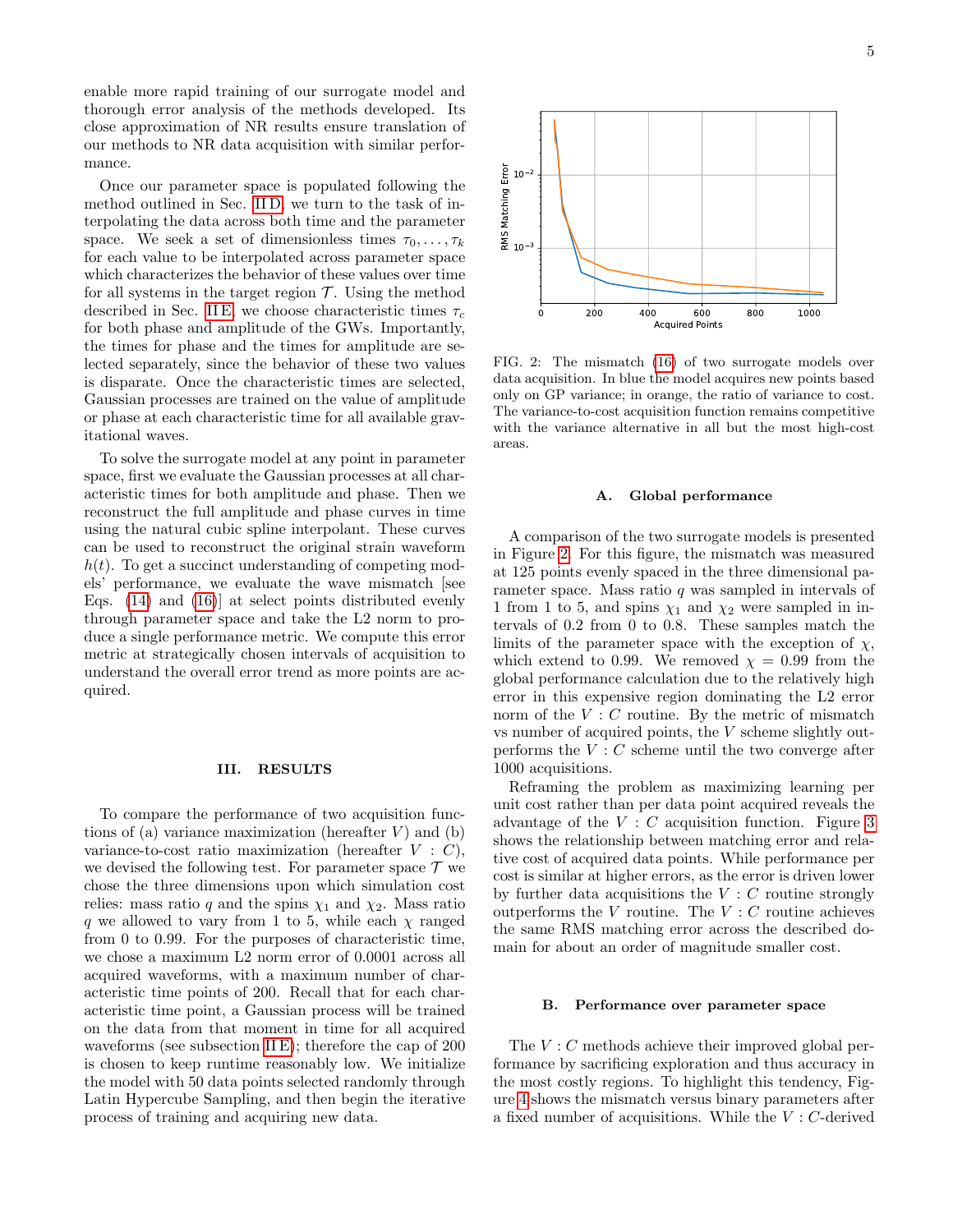enable more rapid training of our surrogate model and thorough error analysis of the methods developed. Its close approximation of NR results ensure translation of our methods to NR data acquisition with similar performance.

Once our parameter space is populated following the method outlined in Sec. [II D,](#page-2-2) we turn to the task of interpolating the data across both time and the parameter space. We seek a set of dimensionless times  $\tau_0, \ldots, \tau_k$ for each value to be interpolated across parameter space which characterizes the behavior of these values over time for all systems in the target region  $\mathcal T$ . Using the method described in Sec. [II E,](#page-3-0) we choose characteristic times  $\tau_c$ for both phase and amplitude of the GWs. Importantly, the times for phase and the times for amplitude are selected separately, since the behavior of these two values is disparate. Once the characteristic times are selected, Gaussian processes are trained on the value of amplitude or phase at each characteristic time for all available gravitational waves.

To solve the surrogate model at any point in parameter space, first we evaluate the Gaussian processes at all characteristic times for both amplitude and phase. Then we reconstruct the full amplitude and phase curves in time using the natural cubic spline interpolant. These curves can be used to reconstruct the original strain waveform  $h(t)$ . To get a succinct understanding of competing models' performance, we evaluate the wave mismatch [see Eqs. [\(14\)](#page-3-1) and [\(16\)](#page-3-2)] at select points distributed evenly through parameter space and take the L2 norm to produce a single performance metric. We compute this error metric at strategically chosen intervals of acquisition to understand the overall error trend as more points are acquired.

# <span id="page-4-0"></span>III. RESULTS

To compare the performance of two acquisition functions of (a) variance maximization (hereafter  $V$ ) and (b) variance-to-cost ratio maximization (hereafter  $V : C$ ). we devised the following test. For parameter space  ${\mathcal T}$  we chose the three dimensions upon which simulation cost relies: mass ratio q and the spins  $\chi_1$  and  $\chi_2$ . Mass ratio q we allowed to vary from 1 to 5, while each  $\chi$  ranged from 0 to 0.99. For the purposes of characteristic time, we chose a maximum L2 norm error of 0.0001 across all acquired waveforms, with a maximum number of characteristic time points of 200. Recall that for each characteristic time point, a Gaussian process will be trained on the data from that moment in time for all acquired waveforms (see subsection [II E\)](#page-3-0); therefore the cap of 200 is chosen to keep runtime reasonably low. We initialize the model with 50 data points selected randomly through Latin Hypercube Sampling, and then begin the iterative process of training and acquiring new data.



<span id="page-4-1"></span>FIG. 2: The mismatch [\(16\)](#page-3-2) of two surrogate models over data acquisition. In blue the model acquires new points based only on GP variance; in orange, the ratio of variance to cost. The variance-to-cost acquisition function remains competitive with the variance alternative in all but the most high-cost areas.

### A. Global performance

A comparison of the two surrogate models is presented in Figure [2.](#page-4-1) For this figure, the mismatch was measured at 125 points evenly spaced in the three dimensional parameter space. Mass ratio  $q$  was sampled in intervals of 1 from 1 to 5, and spins  $\chi_1$  and  $\chi_2$  were sampled in intervals of 0.2 from 0 to 0.8. These samples match the limits of the parameter space with the exception of  $\chi$ , which extend to 0.99. We removed  $\chi = 0.99$  from the global performance calculation due to the relatively high error in this expensive region dominating the L2 error norm of the  $V : C$  routine. By the metric of mismatch vs number of acquired points, the V scheme slightly outperforms the  $V : C$  scheme until the two converge after 1000 acquisitions.

Reframing the problem as maximizing learning per unit cost rather than per data point acquired reveals the advantage of the  $V : C$  acquisition function. Figure [3](#page-5-1) shows the relationship between matching error and relative cost of acquired data points. While performance per cost is similar at higher errors, as the error is driven lower by further data acquisitions the  $V : C$  routine strongly outperforms the V routine. The  $V : C$  routine achieves the same RMS matching error across the described domain for about an order of magnitude smaller cost.

#### B. Performance over parameter space

The  $V : C$  methods achieve their improved global performance by sacrificing exploration and thus accuracy in the most costly regions. To highlight this tendency, Figure [4](#page-5-2) shows the mismatch versus binary parameters after a fixed number of acquisitions. While the  $V$  :  $C\mbox{-}\mathrm{derived}$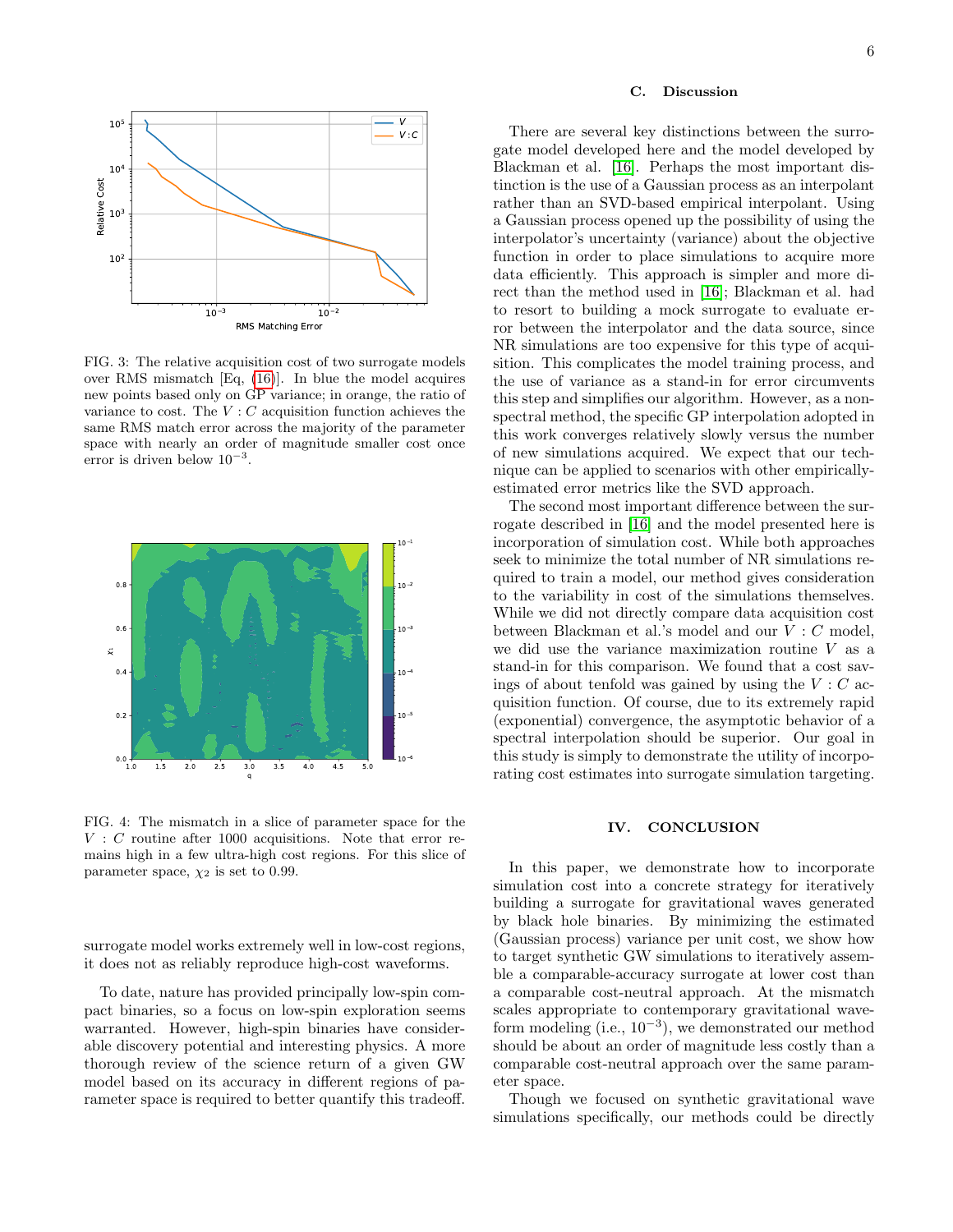

<span id="page-5-1"></span>FIG. 3: The relative acquisition cost of two surrogate models over RMS mismatch [Eq, [\(16\)](#page-3-2)]. In blue the model acquires new points based only on GP variance; in orange, the ratio of variance to cost. The  $V : C$  acquisition function achieves the same RMS match error across the majority of the parameter space with nearly an order of magnitude smaller cost once error is driven below 10<sup>−</sup><sup>3</sup> .



<span id="page-5-2"></span>FIG. 4: The mismatch in a slice of parameter space for the  $V : C$  routine after 1000 acquisitions. Note that error remains high in a few ultra-high cost regions. For this slice of parameter space,  $\chi_2$  is set to 0.99.

surrogate model works extremely well in low-cost regions, it does not as reliably reproduce high-cost waveforms.

To date, nature has provided principally low-spin compact binaries, so a focus on low-spin exploration seems warranted. However, high-spin binaries have considerable discovery potential and interesting physics. A more thorough review of the science return of a given GW model based on its accuracy in different regions of parameter space is required to better quantify this tradeoff.

### C. Discussion

There are several key distinctions between the surrogate model developed here and the model developed by Blackman et al. [\[16\]](#page-6-9). Perhaps the most important distinction is the use of a Gaussian process as an interpolant rather than an SVD-based empirical interpolant. Using a Gaussian process opened up the possibility of using the interpolator's uncertainty (variance) about the objective function in order to place simulations to acquire more data efficiently. This approach is simpler and more direct than the method used in [\[16\]](#page-6-9); Blackman et al. had to resort to building a mock surrogate to evaluate error between the interpolator and the data source, since NR simulations are too expensive for this type of acquisition. This complicates the model training process, and the use of variance as a stand-in for error circumvents this step and simplifies our algorithm. However, as a nonspectral method, the specific GP interpolation adopted in this work converges relatively slowly versus the number of new simulations acquired. We expect that our technique can be applied to scenarios with other empiricallyestimated error metrics like the SVD approach.

The second most important difference between the surrogate described in [\[16\]](#page-6-9) and the model presented here is incorporation of simulation cost. While both approaches seek to minimize the total number of NR simulations required to train a model, our method gives consideration to the variability in cost of the simulations themselves. While we did not directly compare data acquisition cost between Blackman et al.'s model and our V : C model, we did use the variance maximization routine  $V$  as a stand-in for this comparison. We found that a cost savings of about tenfold was gained by using the  $V : C$  acquisition function. Of course, due to its extremely rapid (exponential) convergence, the asymptotic behavior of a spectral interpolation should be superior. Our goal in this study is simply to demonstrate the utility of incorporating cost estimates into surrogate simulation targeting.

# <span id="page-5-0"></span>IV. CONCLUSION

In this paper, we demonstrate how to incorporate simulation cost into a concrete strategy for iteratively building a surrogate for gravitational waves generated by black hole binaries. By minimizing the estimated (Gaussian process) variance per unit cost, we show how to target synthetic GW simulations to iteratively assemble a comparable-accuracy surrogate at lower cost than a comparable cost-neutral approach. At the mismatch scales appropriate to contemporary gravitational waveform modeling (i.e.,  $10^{-3}$ ), we demonstrated our method should be about an order of magnitude less costly than a comparable cost-neutral approach over the same parameter space.

Though we focused on synthetic gravitational wave simulations specifically, our methods could be directly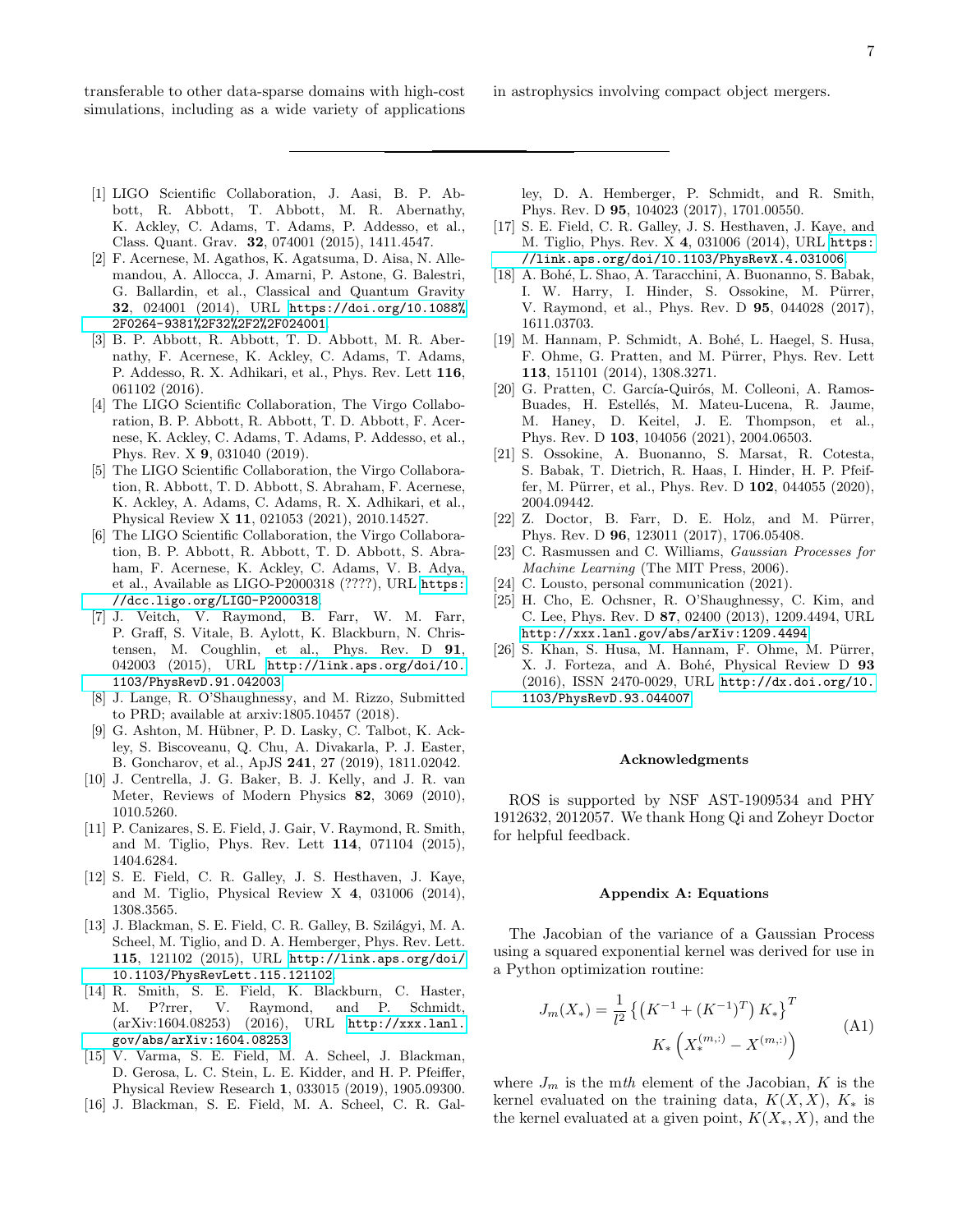transferable to other data-sparse domains with high-cost simulations, including as a wide variety of applications

- in astrophysics involving compact object mergers.
- <span id="page-6-0"></span>[1] LIGO Scientific Collaboration, J. Aasi, B. P. Abbott, R. Abbott, T. Abbott, M. R. Abernathy, K. Ackley, C. Adams, T. Adams, P. Addesso, et al., Class. Quant. Grav. 32, 074001 (2015), 1411.4547.
- <span id="page-6-1"></span>[2] F. Acernese, M. Agathos, K. Agatsuma, D. Aisa, N. Allemandou, A. Allocca, J. Amarni, P. Astone, G. Balestri, G. Ballardin, et al., Classical and Quantum Gravity 32, 024001 (2014), URL [https://doi.org/10.1088%](https://doi.org/10.1088%2F0264-9381%2F32%2F2%2F024001) [2F0264-9381%2F32%2F2%2F024001](https://doi.org/10.1088%2F0264-9381%2F32%2F2%2F024001).
- <span id="page-6-2"></span>[3] B. P. Abbott, R. Abbott, T. D. Abbott, M. R. Abernathy, F. Acernese, K. Ackley, C. Adams, T. Adams, P. Addesso, R. X. Adhikari, et al., Phys. Rev. Lett 116, 061102 (2016).
- [4] The LIGO Scientific Collaboration, The Virgo Collaboration, B. P. Abbott, R. Abbott, T. D. Abbott, F. Acernese, K. Ackley, C. Adams, T. Adams, P. Addesso, et al., Phys. Rev. X 9, 031040 (2019).
- [5] The LIGO Scientific Collaboration, the Virgo Collaboration, R. Abbott, T. D. Abbott, S. Abraham, F. Acernese, K. Ackley, A. Adams, C. Adams, R. X. Adhikari, et al., Physical Review X 11, 021053 (2021), 2010.14527.
- <span id="page-6-3"></span>[6] The LIGO Scientific Collaboration, the Virgo Collaboration, B. P. Abbott, R. Abbott, T. D. Abbott, S. Abraham, F. Acernese, K. Ackley, C. Adams, V. B. Adya, et al., Available as LIGO-P2000318 (????), URL [https:](https://dcc.ligo.org/LIGO-P2000318) [//dcc.ligo.org/LIGO-P2000318](https://dcc.ligo.org/LIGO-P2000318).
- <span id="page-6-4"></span>[7] J. Veitch, V. Raymond, B. Farr, W. M. Farr, P. Graff, S. Vitale, B. Aylott, K. Blackburn, N. Christensen, M. Coughlin, et al., Phys. Rev. D 91, 042003 (2015), URL [http://link.aps.org/doi/10.](http://link.aps.org/doi/10.1103/PhysRevD.91.042003) [1103/PhysRevD.91.042003](http://link.aps.org/doi/10.1103/PhysRevD.91.042003).
- [8] J. Lange, R. O'Shaughnessy, and M. Rizzo, Submitted to PRD; available at arxiv:1805.10457 (2018).
- <span id="page-6-5"></span>[9] G. Ashton, M. Hübner, P. D. Lasky, C. Talbot, K. Ackley, S. Biscoveanu, Q. Chu, A. Divakarla, P. J. Easter, B. Goncharov, et al., ApJS 241, 27 (2019), 1811.02042.
- <span id="page-6-6"></span>[10] J. Centrella, J. G. Baker, B. J. Kelly, and J. R. van Meter, Reviews of Modern Physics 82, 3069 (2010), 1010.5260.
- <span id="page-6-7"></span>[11] P. Canizares, S. E. Field, J. Gair, V. Raymond, R. Smith, and M. Tiglio, Phys. Rev. Lett 114, 071104 (2015), 1404.6284.
- [12] S. E. Field, C. R. Galley, J. S. Hesthaven, J. Kaye, and M. Tiglio, Physical Review X 4, 031006 (2014), 1308.3565.
- [13] J. Blackman, S. E. Field, C. R. Galley, B. Szilágyi, M. A. Scheel, M. Tiglio, and D. A. Hemberger, Phys. Rev. Lett. 115, 121102 (2015), URL [http://link.aps.org/doi/](http://link.aps.org/doi/10.1103/PhysRevLett.115.121102) [10.1103/PhysRevLett.115.121102](http://link.aps.org/doi/10.1103/PhysRevLett.115.121102).
- [14] R. Smith, S. E. Field, K. Blackburn, C. Haster, M. P?rrer, V. Raymond, and P. Schmidt, (arXiv:1604.08253) (2016), URL [http://xxx.lanl.](http://xxx.lanl.gov/abs/arXiv:1604.08253) [gov/abs/arXiv:1604.08253](http://xxx.lanl.gov/abs/arXiv:1604.08253).
- [15] V. Varma, S. E. Field, M. A. Scheel, J. Blackman, D. Gerosa, L. C. Stein, L. E. Kidder, and H. P. Pfeiffer, Physical Review Research 1, 033015 (2019), 1905.09300.
- <span id="page-6-9"></span>[16] J. Blackman, S. E. Field, M. A. Scheel, C. R. Gal-

ley, D. A. Hemberger, P. Schmidt, and R. Smith, Phys. Rev. D 95, 104023 (2017), 1701.00550.

- <span id="page-6-10"></span>[17] S. E. Field, C. R. Galley, J. S. Hesthaven, J. Kaye, and M. Tiglio, Phys. Rev. X 4, 031006 (2014), URL [https:](https://link.aps.org/doi/10.1103/PhysRevX.4.031006) [//link.aps.org/doi/10.1103/PhysRevX.4.031006](https://link.aps.org/doi/10.1103/PhysRevX.4.031006).
- [18] A. Bohé, L. Shao, A. Taracchini, A. Buonanno, S. Babak, I. W. Harry, I. Hinder, S. Ossokine, M. Pürrer, V. Raymond, et al., Phys. Rev. D 95, 044028 (2017), 1611.03703.
- [19] M. Hannam, P. Schmidt, A. Bohé, L. Haegel, S. Husa, F. Ohme, G. Pratten, and M. Pürrer, Phys. Rev. Lett 113, 151101 (2014), 1308.3271.
- [20] G. Pratten, C. García-Quirós, M. Colleoni, A. Ramos-Buades, H. Estellés, M. Mateu-Lucena, R. Jaume, M. Haney, D. Keitel, J. E. Thompson, et al., Phys. Rev. D 103, 104056 (2021), 2004.06503.
- [21] S. Ossokine, A. Buonanno, S. Marsat, R. Cotesta, S. Babak, T. Dietrich, R. Haas, I. Hinder, H. P. Pfeiffer, M. Pürrer, et al., Phys. Rev. D 102, 044055 (2020), 2004.09442.
- <span id="page-6-8"></span> $[22]$  Z. Doctor, B. Farr, D. E. Holz, and M. Pürrer, Phys. Rev. D 96, 123011 (2017), 1706.05408.
- <span id="page-6-11"></span>[23] C. Rasmussen and C. Williams, Gaussian Processes for Machine Learning (The MIT Press, 2006).
- <span id="page-6-12"></span>[24] C. Lousto, personal communication (2021).
- <span id="page-6-13"></span>[25] H. Cho, E. Ochsner, R. O'Shaughnessy, C. Kim, and C. Lee, Phys. Rev. D 87, 02400 (2013), 1209.4494, URL <http://xxx.lanl.gov/abs/arXiv:1209.4494>.
- <span id="page-6-14"></span>[26] S. Khan, S. Husa, M. Hannam, F. Ohme, M. Pürrer, X. J. Forteza, and A. Bohé, Physical Review D 93 (2016), ISSN 2470-0029, URL [http://dx.doi.org/10.](http://dx.doi.org/10.1103/PhysRevD.93.044007) [1103/PhysRevD.93.044007](http://dx.doi.org/10.1103/PhysRevD.93.044007).

#### Acknowledgments

ROS is supported by NSF AST-1909534 and PHY 1912632, 2012057. We thank Hong Qi and Zoheyr Doctor for helpful feedback.

#### Appendix A: Equations

The Jacobian of the variance of a Gaussian Process using a squared exponential kernel was derived for use in a Python optimization routine:

$$
J_m(X_*) = \frac{1}{l^2} \left\{ \left( K^{-1} + (K^{-1})^T \right) K_* \right\}^T
$$
  

$$
K_* \left( X_*^{(m,:)} - X^{(m,:)} \right)
$$
 (A1)

where  $J_m$  is the mth element of the Jacobian, K is the kernel evaluated on the training data,  $K(X, X)$ ,  $K_*$  is the kernel evaluated at a given point,  $K(X_*, X)$ , and the